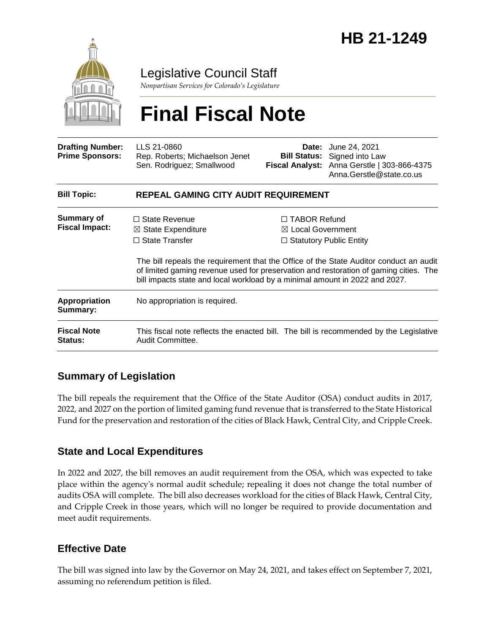

Legislative Council Staff

*Nonpartisan Services for Colorado's Legislature*

# **Final Fiscal Note**

| <b>Drafting Number:</b><br><b>Prime Sponsors:</b> | LLS 21-0860<br>Rep. Roberts; Michaelson Jenet<br>Sen. Rodriguez; Smallwood                                                                                                                                                                                                                                                                       | Date:                                               | June 24, 2021<br><b>Bill Status:</b> Signed into Law<br>Fiscal Analyst: Anna Gerstle   303-866-4375<br>Anna.Gerstle@state.co.us |  |
|---------------------------------------------------|--------------------------------------------------------------------------------------------------------------------------------------------------------------------------------------------------------------------------------------------------------------------------------------------------------------------------------------------------|-----------------------------------------------------|---------------------------------------------------------------------------------------------------------------------------------|--|
| <b>Bill Topic:</b>                                | REPEAL GAMING CITY AUDIT REQUIREMENT                                                                                                                                                                                                                                                                                                             |                                                     |                                                                                                                                 |  |
| <b>Summary of</b><br><b>Fiscal Impact:</b>        | $\Box$ State Revenue<br>$\boxtimes$ State Expenditure<br>$\Box$ State Transfer<br>The bill repeals the requirement that the Office of the State Auditor conduct an audit<br>of limited gaming revenue used for preservation and restoration of gaming cities. The<br>bill impacts state and local workload by a minimal amount in 2022 and 2027. | $\Box$ TABOR Refund<br>$\boxtimes$ Local Government | $\Box$ Statutory Public Entity                                                                                                  |  |
| <b>Appropriation</b><br>Summary:                  | No appropriation is required.                                                                                                                                                                                                                                                                                                                    |                                                     |                                                                                                                                 |  |
| <b>Fiscal Note</b><br><b>Status:</b>              | This fiscal note reflects the enacted bill. The bill is recommended by the Legislative<br>Audit Committee.                                                                                                                                                                                                                                       |                                                     |                                                                                                                                 |  |

### **Summary of Legislation**

The bill repeals the requirement that the Office of the State Auditor (OSA) conduct audits in 2017, 2022, and 2027 on the portion of limited gaming fund revenue that is transferred to the State Historical Fund for the preservation and restoration of the cities of Black Hawk, Central City, and Cripple Creek.

#### **State and Local Expenditures**

In 2022 and 2027, the bill removes an audit requirement from the OSA, which was expected to take place within the agency's normal audit schedule; repealing it does not change the total number of audits OSA will complete. The bill also decreases workload for the cities of Black Hawk, Central City, and Cripple Creek in those years, which will no longer be required to provide documentation and meet audit requirements.

#### **Effective Date**

The bill was signed into law by the Governor on May 24, 2021, and takes effect on September 7, 2021, assuming no referendum petition is filed.